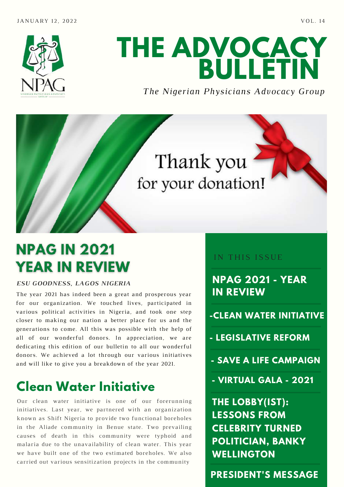

# **THE ADVOCACY BULLETIN**

#### *The Nigerian Physicians Advocacy Group*



# **NPAG IN 2021 YEAR IN REVIEW**

#### *ESU GOODNESS, LAGOS NIGERIA*

The year 2021 has indeed been a great and prosperous year for our organization. We touched lives, participated in various political activities in Nigeria, and took one step closer to making our nation a better place for us and the generations to come. All this was possible with the help of all of our wonderful donors. In appreciation, we are dedicating this edition of our bulletin to all our wonderful donors. We achieved a lot through our various initiatives and will like to give you a breakdown of the year 2021.

# **Clean Water Initiative**

Our clean water initiative is one of our forerunning initiatives. Last year, we partnered with an organization known as Shift Nigeria to provide two functional boreholes in the Aliade community in Benue state. Two prevailing causes of death in this community were typhoid and malaria due to the unavailability of clean water. This year we have built one of the two estimated boreholes. We also carried out various sensitization projects in the community

#### IN THIS ISSUE

**NPAG 2021 - YEAR IN REVIEW**

- **-CLEAN WATER INITIATIVE**
- **- LEGISLATIVE REFORM**
- **- SAVE A LIFE CAMPAIGN**
- **- VIRTUAL GALA - 2021**

**THE LOBBY(IST): LESSONS FROM CELEBRITY TURNED POLITICIAN, BANKY WELLINGTON**

**PRESIDENT'S MESSAGE**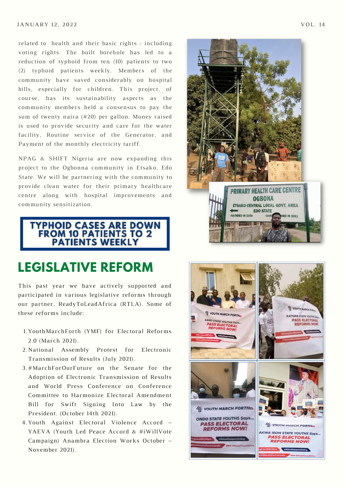#### $JANUARY$  12, 2022  $VOL.14$

related to health and their basic rights - including voting rights. The built borehole has led to a reduction of typhoid from ten (10) patients to two (2) typhoid patients weekly. Members of the community have saved considerably on hospital bills, especially for children. This project, of course, has its sustainability aspects as the community members held a consensus to pay the sum of twenty naira (#20) per gallon. Money raised is used to provide security and care for the water facility, Routine service of the Generator, and Payment of the monthly electricity tariff.

NPAG & SHIFT Nigeria are now expanding this project to the Ogbonna community in Etsako, Edo State. We will be partnering with the community to provide clean water for their primary healthcare centre along with hospital improvements and community sensitization.

**TYPHOID CASES ARE DOWN<br>FROM 10 PATIENTS TO 2 PATIENTS WEEKLY** 

#### **LEGISLATIVE REFORM**

This past year we have actively supported and participated in various legislative reforms through our partner, ReadyToLeadAfrica (RTLA). Some of these reforms include:

- YouthMarchForth (YMF) for Electoral Reforms 1. 2.0 (March 2021).
- 2. National Assembly Protest for Electronic Transmission of Results (July 2021).
- 3.#MarchForOurFuture on the Senate for the Adoption of Electronic Transmission of Results and World Press Conference on Conference Committee to Harmonize Electoral Amendment Bill for Swift Signing Into Law by the President. (October 14th 2021).
- Youth Against Electoral Violence Accord 4. YAEVA (Youth Led Peace Accord & #iWillVote Campaign) Anambra Election Works October – November 2021).



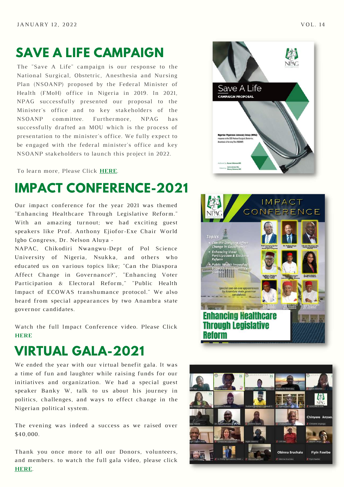### **SAVE A LIFE CAMPAIGN**

The "Save A Life" campaign is our response to the National Surgical, Obstetric, Anesthesia and Nursing Plan (NSOANP) proposed by the Federal Minister of Health (FMoH) office in Nigeria in 2019. In 2021, NPAG successfully presented our proposal to the Minister's office and to key stakeholders of the NSOANP committee. Furthermore, NPAG has successfully drafted an MOU which is the process of presentation to the minister's office. We fully expect to be engaged with the federal minister's office and key NSOANP stakeholders to launch this project in 2022.

To learn more, Please Click **[HERE](https://drive.google.com/file/d/1o0zZDL0u5U8_1dzJBv2IA4zmZNxahR8T/view?usp=sharing)**.

### **IMPACT CONFERENCE-2021**

Our impact conference for the year 2021 was themed "Enhancing Healthcare Through Legislative Reform." With an amazing turnout; we had exciting guest speakers like Prof. Anthony Ejiofor-Exe Chair World Igbo Congress, Dr. Nelson Aluya -

NAPAC, Chikodiri Nwangwu-Dept of Pol Science University of Nigeria, Nsukka, and others who educated us on various topics like; "Can the Diaspora Affect Change in Governance?", "Enhancing Voter Participation & Electoral Reform," "Public Health Impact of ECOWAS transhumance protocol." We also heard from special appearances by two Anambra state governor candidates.

Watch the full Impact Conference video. Please Click **[HERE](https://youtu.be/7za7LtCtY1E)**

### **VIRTUAL GALA-2021**

We ended the year with our virtual benefit gala. It was a time of fun and laughter while raising funds for our initiatives and organization. We had a special guest speaker Banky W, talk to us about his journey in politics, challenges, and ways to effect change in the Nigerian political system.

The evening was indeed a success as we raised over \$40,000.

Thank you once more to all our Donors, volunteers, and members. to watch the full gala video, please click **[HERE](https://youtu.be/YEKxeW-xfgA)**.